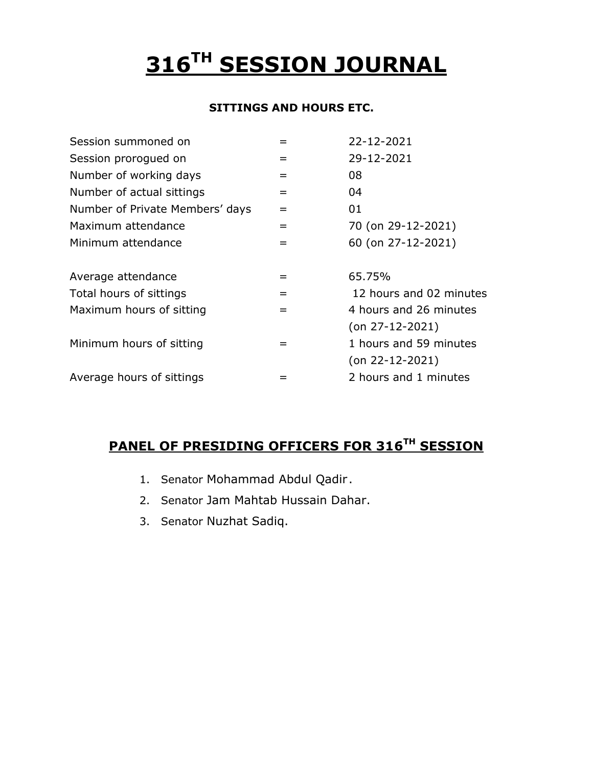# **316TH SESSION JOURNAL**

#### **SITTINGS AND HOURS ETC.**

| 22-12-2021              |
|-------------------------|
| 29-12-2021              |
| 08                      |
| 04                      |
| 01                      |
| 70 (on 29-12-2021)      |
| 60 (on 27-12-2021)      |
| 65.75%                  |
| 12 hours and 02 minutes |
| 4 hours and 26 minutes  |
| $($ on 27-12-2021)      |
| 1 hours and 59 minutes  |
| $($ on 22-12-2021)      |
|                         |
|                         |

#### **PANEL OF PRESIDING OFFICERS FOR 316 TH SESSION**

- 1. Senator Mohammad Abdul Qadir .
- 2. Senator Jam Mahtab Hussain Dahar.
- 3. Senator Nuzhat Sadiq.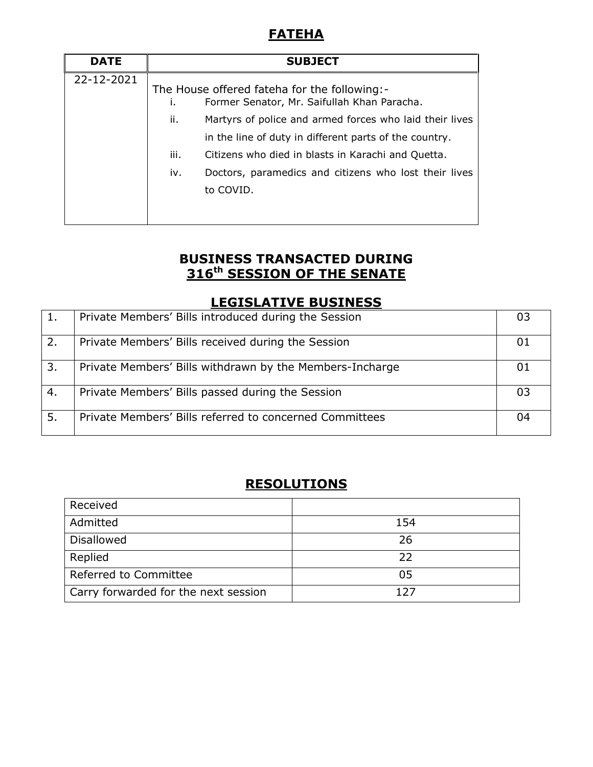# **FATEHA**

| <b>DATE</b> | <b>SUBJECT</b>                                                                                    |                                                                                                                   |
|-------------|---------------------------------------------------------------------------------------------------|-------------------------------------------------------------------------------------------------------------------|
| 22-12-2021  | The House offered fateha for the following:-<br>Former Senator, Mr. Saifullah Khan Paracha.<br>Τ. |                                                                                                                   |
|             | ii.                                                                                               | Martyrs of police and armed forces who laid their lives<br>in the line of duty in different parts of the country. |
|             | iii.                                                                                              | Citizens who died in blasts in Karachi and Quetta.                                                                |
|             | iv.                                                                                               | Doctors, paramedics and citizens who lost their lives<br>to COVID.                                                |

# **BUSINESS TRANSACTED DURING 316th SESSION OF THE SENATE**

#### **LEGISLATIVE BUSINESS**

| 1. | Private Members' Bills introduced during the Session     | 03  |
|----|----------------------------------------------------------|-----|
| 2. | Private Members' Bills received during the Session       | 01  |
| 3. | Private Members' Bills withdrawn by the Members-Incharge | -01 |
| 4. | Private Members' Bills passed during the Session         | 03  |
| 5. | Private Members' Bills referred to concerned Committees  | 04  |

# **RESOLUTIONS**

| Received                             |     |
|--------------------------------------|-----|
| Admitted                             | 154 |
| <b>Disallowed</b>                    | 26  |
| Replied                              | 22  |
| Referred to Committee                | 05  |
| Carry forwarded for the next session | 127 |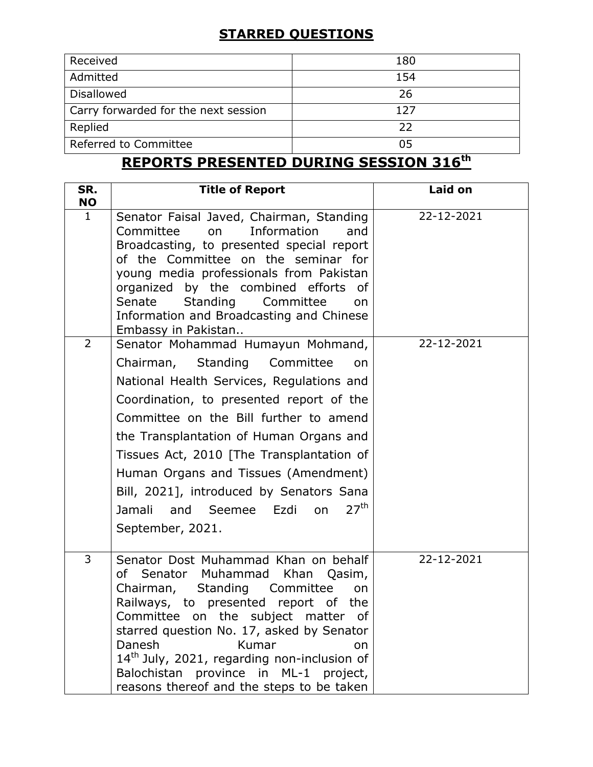# **STARRED QUESTIONS**

| Received                             | 180 |
|--------------------------------------|-----|
| Admitted                             | 154 |
| <b>Disallowed</b>                    | 26  |
| Carry forwarded for the next session | 127 |
| Replied                              | 22  |
| Referred to Committee                | 05  |

# **REPORTS PRESENTED DURING SESSION 316th**

| SR.<br><b>NO</b> | <b>Title of Report</b>                                                                                                                                                                                                                                                                                                                                                                                                                                               | Laid on    |
|------------------|----------------------------------------------------------------------------------------------------------------------------------------------------------------------------------------------------------------------------------------------------------------------------------------------------------------------------------------------------------------------------------------------------------------------------------------------------------------------|------------|
| $\mathbf{1}$     | Senator Faisal Javed, Chairman, Standing<br>Committee<br>Information<br>on<br>and<br>Broadcasting, to presented special report<br>of the Committee on the seminar for<br>young media professionals from Pakistan<br>organized by the combined efforts of<br>Standing Committee<br>Senate<br>on<br>Information and Broadcasting and Chinese<br>Embassy in Pakistan                                                                                                    | 22-12-2021 |
| $\overline{2}$   | Senator Mohammad Humayun Mohmand,<br>Chairman, Standing Committee<br>on<br>National Health Services, Regulations and<br>Coordination, to presented report of the<br>Committee on the Bill further to amend<br>the Transplantation of Human Organs and<br>Tissues Act, 2010 [The Transplantation of<br>Human Organs and Tissues (Amendment)<br>Bill, 2021], introduced by Senators Sana<br>27 <sup>th</sup><br>Jamali<br>and Seemee<br>Ezdi<br>on<br>September, 2021. | 22-12-2021 |
| 3                | Senator Dost Muhammad Khan on behalf<br>Senator Muhammad Khan Qasim,<br>of<br>Standing<br>Committee<br>Chairman,<br>on<br>Railways, to presented report of the<br>Committee on the subject matter of<br>starred question No. 17, asked by Senator<br>Danesh<br>Kumar<br>on<br>14 <sup>th</sup> July, 2021, regarding non-inclusion of<br>Balochistan province in ML-1 project,<br>reasons thereof and the steps to be taken                                          | 22-12-2021 |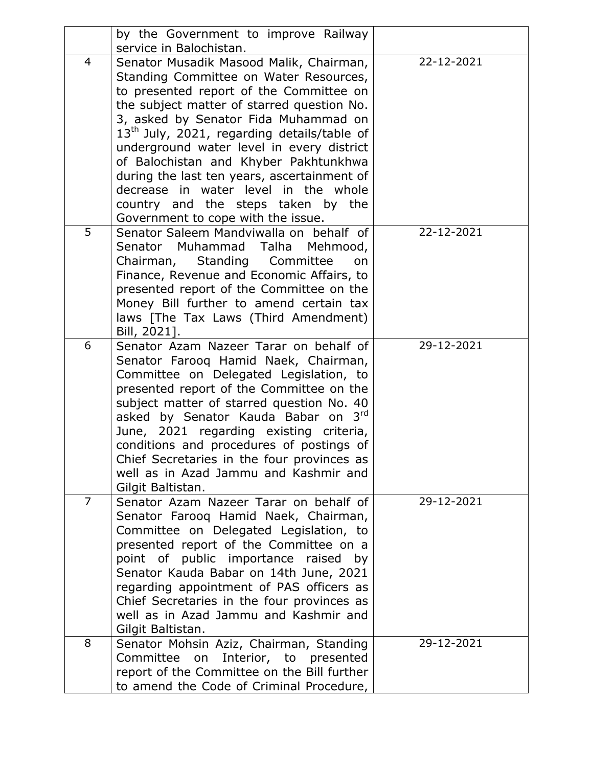|   | by the Government to improve Railway                                                                                                                                                                                                                                                                                                                                                                                                                                       |            |
|---|----------------------------------------------------------------------------------------------------------------------------------------------------------------------------------------------------------------------------------------------------------------------------------------------------------------------------------------------------------------------------------------------------------------------------------------------------------------------------|------------|
|   | service in Balochistan.                                                                                                                                                                                                                                                                                                                                                                                                                                                    |            |
| 4 | Senator Musadik Masood Malik, Chairman,<br>Standing Committee on Water Resources,<br>to presented report of the Committee on<br>the subject matter of starred question No.<br>3, asked by Senator Fida Muhammad on<br>$13th$ July, 2021, regarding details/table of<br>underground water level in every district<br>of Balochistan and Khyber Pakhtunkhwa<br>during the last ten years, ascertainment of<br>decrease in water level in the whole                           | 22-12-2021 |
|   | country and the steps taken by the                                                                                                                                                                                                                                                                                                                                                                                                                                         |            |
| 5 | Government to cope with the issue.<br>Senator Saleem Mandviwalla on behalf of<br>Senator Muhammad Talha<br>Mehmood,<br>Standing<br>Chairman,<br>Committee<br>on<br>Finance, Revenue and Economic Affairs, to<br>presented report of the Committee on the<br>Money Bill further to amend certain tax<br>laws [The Tax Laws (Third Amendment)<br>Bill, 2021].                                                                                                                | 22-12-2021 |
| 6 | Senator Azam Nazeer Tarar on behalf of<br>Senator Farooq Hamid Naek, Chairman,<br>Committee on Delegated Legislation, to<br>presented report of the Committee on the<br>subject matter of starred question No. 40<br>3 <sup>rd</sup><br>asked by Senator Kauda Babar on<br>June, 2021 regarding existing criteria,<br>conditions and procedures of postings of<br>Chief Secretaries in the four provinces as<br>well as in Azad Jammu and Kashmir and<br>Gilgit Baltistan. | 29-12-2021 |
| 7 | Senator Azam Nazeer Tarar on behalf of<br>Senator Farooq Hamid Naek, Chairman,<br>Committee on Delegated Legislation, to<br>presented report of the Committee on a<br>point of public importance raised by<br>Senator Kauda Babar on 14th June, 2021<br>regarding appointment of PAS officers as<br>Chief Secretaries in the four provinces as<br>well as in Azad Jammu and Kashmir and<br>Gilgit Baltistan.                                                               | 29-12-2021 |
| 8 | Senator Mohsin Aziz, Chairman, Standing<br>Committee on Interior, to presented<br>report of the Committee on the Bill further<br>to amend the Code of Criminal Procedure,                                                                                                                                                                                                                                                                                                  | 29-12-2021 |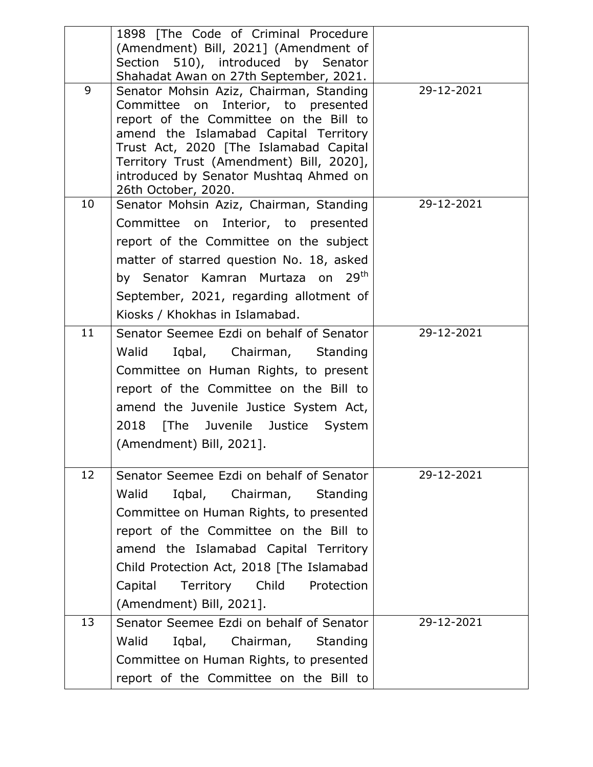| 9  | 1898 [The Code of Criminal Procedure<br>(Amendment) Bill, 2021] (Amendment of<br>Section 510), introduced by Senator<br>Shahadat Awan on 27th September, 2021. |
|----|----------------------------------------------------------------------------------------------------------------------------------------------------------------|
|    |                                                                                                                                                                |
|    |                                                                                                                                                                |
|    |                                                                                                                                                                |
|    | 29-12-2021<br>Senator Mohsin Aziz, Chairman, Standing                                                                                                          |
|    | Committee on Interior, to presented                                                                                                                            |
|    | report of the Committee on the Bill to                                                                                                                         |
|    | amend the Islamabad Capital Territory                                                                                                                          |
|    | Trust Act, 2020 [The Islamabad Capital                                                                                                                         |
|    |                                                                                                                                                                |
|    | Territory Trust (Amendment) Bill, 2020],                                                                                                                       |
| 10 | introduced by Senator Mushtaq Ahmed on<br>26th October, 2020.                                                                                                  |
|    | 29-12-2021<br>Senator Mohsin Aziz, Chairman, Standing                                                                                                          |
|    | Committee on Interior, to presented                                                                                                                            |
|    | report of the Committee on the subject                                                                                                                         |
|    | matter of starred question No. 18, asked                                                                                                                       |
|    | by Senator Kamran Murtaza on 29 <sup>th</sup>                                                                                                                  |
|    | September, 2021, regarding allotment of                                                                                                                        |
|    | Kiosks / Khokhas in Islamabad.                                                                                                                                 |
| 11 | 29-12-2021<br>Senator Seemee Ezdi on behalf of Senator                                                                                                         |
|    | Iqbal, Chairman, Standing<br>Walid                                                                                                                             |
|    | Committee on Human Rights, to present                                                                                                                          |
|    | report of the Committee on the Bill to                                                                                                                         |
|    | amend the Juvenile Justice System Act,                                                                                                                         |
|    | 2018                                                                                                                                                           |
|    | [The Juvenile Justice<br>System<br>(Amendment) Bill, 2021].                                                                                                    |
|    |                                                                                                                                                                |
| 12 | 29-12-2021<br>Senator Seemee Ezdi on behalf of Senator                                                                                                         |
|    | Walid<br>Iqbal, Chairman,<br>Standing                                                                                                                          |
|    | Committee on Human Rights, to presented                                                                                                                        |
|    | report of the Committee on the Bill to                                                                                                                         |
|    | amend the Islamabad Capital Territory                                                                                                                          |
|    | Child Protection Act, 2018 [The Islamabad                                                                                                                      |
|    | Territory<br>Child<br>Protection<br>Capital                                                                                                                    |
|    | (Amendment) Bill, 2021].                                                                                                                                       |
| 13 | 29-12-2021<br>Senator Seemee Ezdi on behalf of Senator                                                                                                         |
|    | Walid<br>Iqbal, Chairman,<br>Standing                                                                                                                          |
|    | Committee on Human Rights, to presented                                                                                                                        |
|    |                                                                                                                                                                |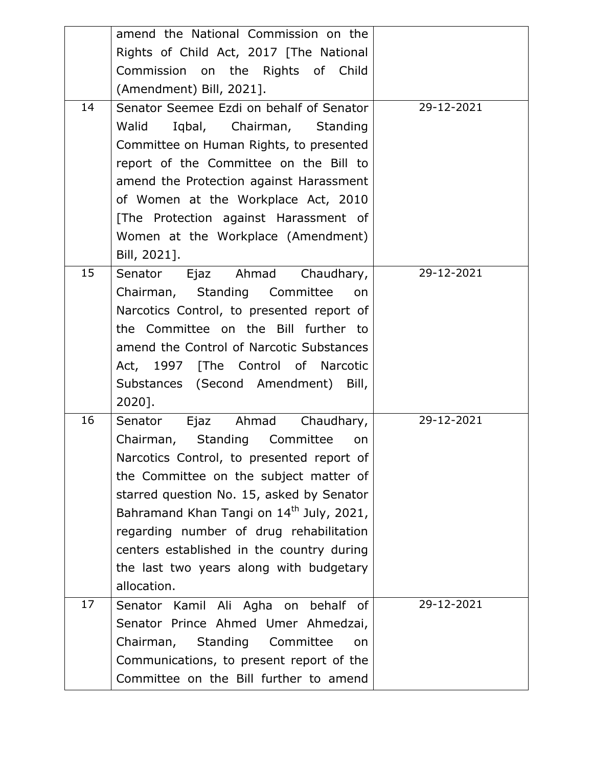|    | amend the National Commission on the                 |            |
|----|------------------------------------------------------|------------|
|    | Rights of Child Act, 2017 [The National              |            |
|    | Commission on the Rights of Child                    |            |
|    | (Amendment) Bill, 2021].                             |            |
| 14 | Senator Seemee Ezdi on behalf of Senator             | 29-12-2021 |
|    | Walid<br>Iqbal, Chairman, Standing                   |            |
|    | Committee on Human Rights, to presented              |            |
|    | report of the Committee on the Bill to               |            |
|    | amend the Protection against Harassment              |            |
|    | of Women at the Workplace Act, 2010                  |            |
|    | [The Protection against Harassment of                |            |
|    | Women at the Workplace (Amendment)                   |            |
|    | Bill, 2021].                                         |            |
| 15 | Senator Ejaz Ahmad Chaudhary,                        | 29-12-2021 |
|    | Chairman, Standing Committee<br>on                   |            |
|    | Narcotics Control, to presented report of            |            |
|    | the Committee on the Bill further to                 |            |
|    | amend the Control of Narcotic Substances             |            |
|    | Act, 1997 [The Control of Narcotic                   |            |
|    | Substances (Second Amendment) Bill,                  |            |
|    | 2020].                                               |            |
| 16 | Ejaz Ahmad<br>Chaudhary,<br>Senator                  | 29-12-2021 |
|    | Chairman, Standing Committee<br>on                   |            |
|    | Narcotics Control, to presented report of            |            |
|    | the Committee on the subject matter of               |            |
|    | starred question No. 15, asked by Senator            |            |
|    | Bahramand Khan Tangi on 14 <sup>th</sup> July, 2021, |            |
|    | regarding number of drug rehabilitation              |            |
|    | centers established in the country during            |            |
|    | the last two years along with budgetary              |            |
|    | allocation.                                          |            |
| 17 | behalf of<br>Senator Kamil Ali Agha on               | 29-12-2021 |
|    | Senator Prince Ahmed Umer Ahmedzai,                  |            |
|    | Chairman,<br><b>Standing</b><br>Committee<br>on      |            |
|    | Communications, to present report of the             |            |
|    | Committee on the Bill further to amend               |            |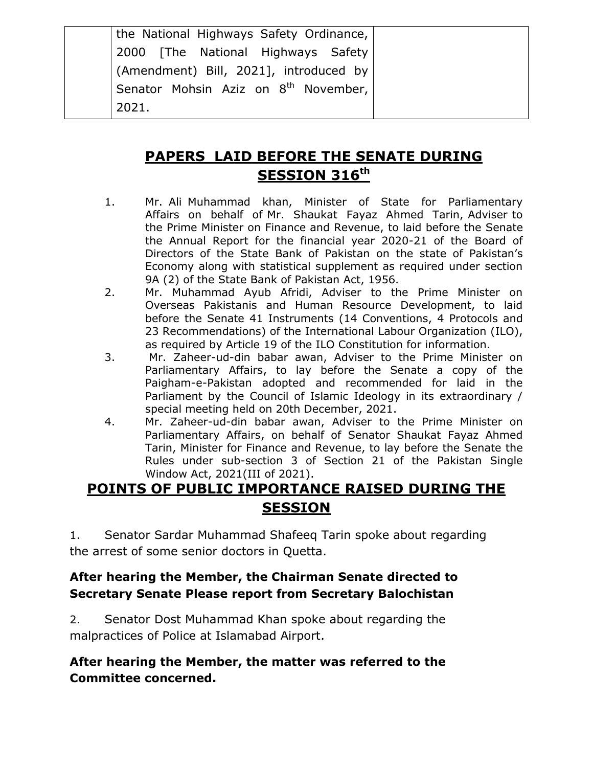| the National Highways Safety Ordinance,          |  |
|--------------------------------------------------|--|
| 2000   The National Highways Safety              |  |
| (Amendment) Bill, 2021], introduced by           |  |
| Senator Mohsin Aziz on 8 <sup>th</sup> November, |  |
| 2021.                                            |  |

# **PAPERS LAID BEFORE THE SENATE DURING SESSION 316th**

- 1. Mr. Ali Muhammad khan, Minister of State for Parliamentary Affairs on behalf of Mr. Shaukat Fayaz Ahmed Tarin, Adviser to the Prime Minister on Finance and Revenue, to laid before the Senate the Annual Report for the financial year 2020-21 of the Board of Directors of the State Bank of Pakistan on the state of Pakistan's Economy along with statistical supplement as required under section 9A (2) of the State Bank of Pakistan Act, 1956.
- 2. Mr. Muhammad Ayub Afridi, Adviser to the Prime Minister on Overseas Pakistanis and Human Resource Development, to laid before the Senate 41 Instruments (14 Conventions, 4 Protocols and 23 Recommendations) of the International Labour Organization (ILO), as required by Article 19 of the ILO Constitution for information.
- 3. Mr. Zaheer-ud-din babar awan, Adviser to the Prime Minister on Parliamentary Affairs, to lay before the Senate a copy of the Paigham-e-Pakistan adopted and recommended for laid in the Parliament by the Council of Islamic Ideology in its extraordinary / special meeting held on 20th December, 2021.
- 4. Mr. Zaheer-ud-din babar awan, Adviser to the Prime Minister on Parliamentary Affairs, on behalf of Senator Shaukat Fayaz Ahmed Tarin, Minister for Finance and Revenue, to lay before the Senate the Rules under sub-section 3 of Section 21 of the Pakistan Single Window Act, 2021(III of 2021).

# **POINTS OF PUBLIC IMPORTANCE RAISED DURING THE SESSION**

1. Senator Sardar Muhammad Shafeeq Tarin spoke about regarding the arrest of some senior doctors in Quetta.

#### **After hearing the Member, the Chairman Senate directed to Secretary Senate Please report from Secretary Balochistan**

2. Senator Dost Muhammad Khan spoke about regarding the malpractices of Police at Islamabad Airport.

#### **After hearing the Member, the matter was referred to the Committee concerned.**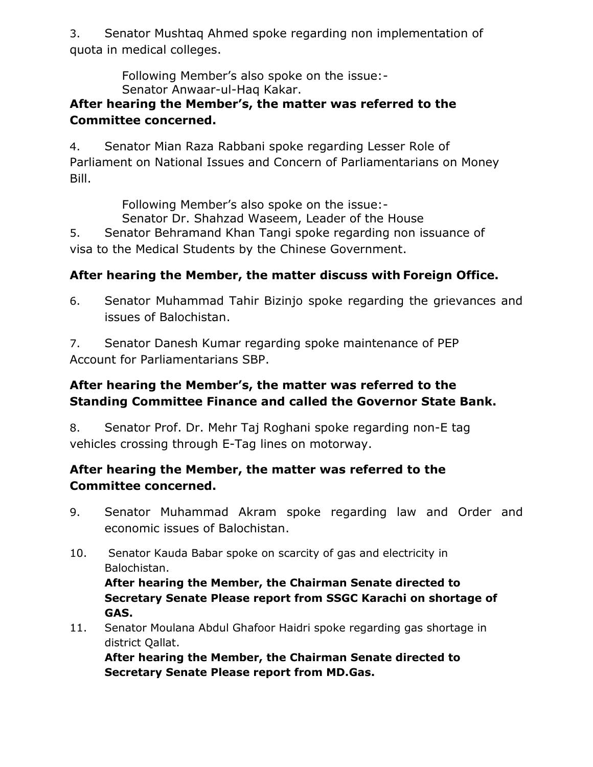3. Senator Mushtaq Ahmed spoke regarding non implementation of quota in medical colleges.

> Following Member's also spoke on the issue:- Senator Anwaar-ul-Haq Kakar.

#### **After hearing the Member's, the matter was referred to the Committee concerned.**

4. Senator Mian Raza Rabbani spoke regarding Lesser Role of Parliament on National Issues and Concern of Parliamentarians on Money Bill.

Following Member's also spoke on the issue:-

Senator Dr. Shahzad Waseem, Leader of the House

5. Senator Behramand Khan Tangi spoke regarding non issuance of visa to the Medical Students by the Chinese Government.

# **After hearing the Member, the matter discuss with Foreign Office.**

6. Senator Muhammad Tahir Bizinjo spoke regarding the grievances and issues of Balochistan.

7. Senator Danesh Kumar regarding spoke maintenance of PEP Account for Parliamentarians SBP.

# **After hearing the Member's, the matter was referred to the Standing Committee Finance and called the Governor State Bank.**

8. Senator Prof. Dr. Mehr Taj Roghani spoke regarding non-E tag vehicles crossing through E-Tag lines on motorway.

## **After hearing the Member, the matter was referred to the Committee concerned.**

- 9. Senator Muhammad Akram spoke regarding law and Order and economic issues of Balochistan.
- 10. Senator Kauda Babar spoke on scarcity of gas and electricity in Balochistan.

**After hearing the Member, the Chairman Senate directed to Secretary Senate Please report from SSGC Karachi on shortage of GAS.**

11. Senator Moulana Abdul Ghafoor Haidri spoke regarding gas shortage in district Qallat.

**After hearing the Member, the Chairman Senate directed to Secretary Senate Please report from MD.Gas.**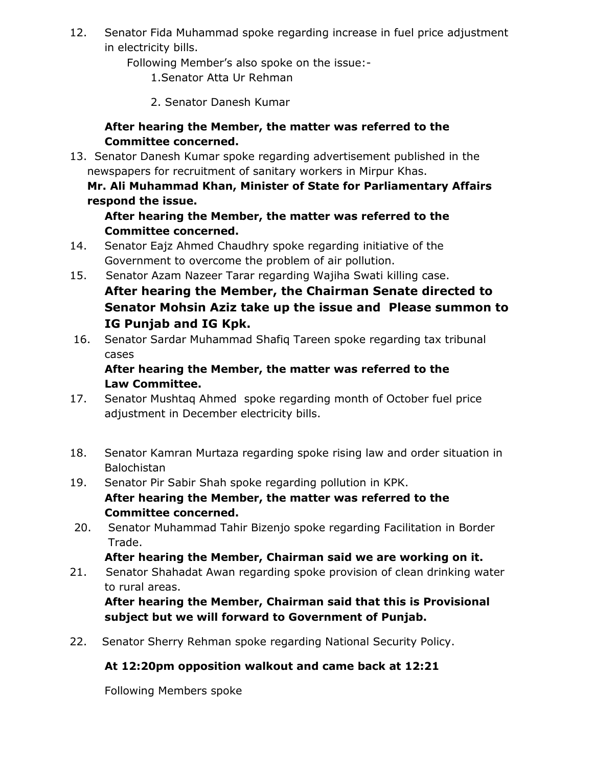12. Senator Fida Muhammad spoke regarding increase in fuel price adjustment in electricity bills.

Following Member's also spoke on the issue:-

- 1.Senator Atta Ur Rehman
- 2. Senator Danesh Kumar

#### **After hearing the Member, the matter was referred to the Committee concerned.**

13. Senator Danesh Kumar spoke regarding advertisement published in the newspapers for recruitment of sanitary workers in Mirpur Khas.

#### **Mr. Ali Muhammad Khan, Minister of State for Parliamentary Affairs respond the issue.**

#### **After hearing the Member, the matter was referred to the Committee concerned.**

- 14. Senator Eajz Ahmed Chaudhry spoke regarding initiative of the Government to overcome the problem of air pollution.
- 15. Senator Azam Nazeer Tarar regarding Wajiha Swati killing case. **After hearing the Member, the Chairman Senate directed to Senator Mohsin Aziz take up the issue and Please summon to IG Punjab and IG Kpk.**
- 16. Senator Sardar Muhammad Shafiq Tareen spoke regarding tax tribunal cases

#### **After hearing the Member, the matter was referred to the Law Committee.**

- 17. Senator Mushtaq Ahmed spoke regarding month of October fuel price adjustment in December electricity bills.
- 18. Senator Kamran Murtaza regarding spoke rising law and order situation in Balochistan
- 19. Senator Pir Sabir Shah spoke regarding pollution in KPK.
	- **After hearing the Member, the matter was referred to the Committee concerned.**
- 20. Senator Muhammad Tahir Bizenjo spoke regarding Facilitation in Border Trade.

**After hearing the Member, Chairman said we are working on it.**

21. Senator Shahadat Awan regarding spoke provision of clean drinking water to rural areas.

**After hearing the Member, Chairman said that this is Provisional subject but we will forward to Government of Punjab.**

22. Senator Sherry Rehman spoke regarding National Security Policy.

#### **At 12:20pm opposition walkout and came back at 12:21**

Following Members spoke